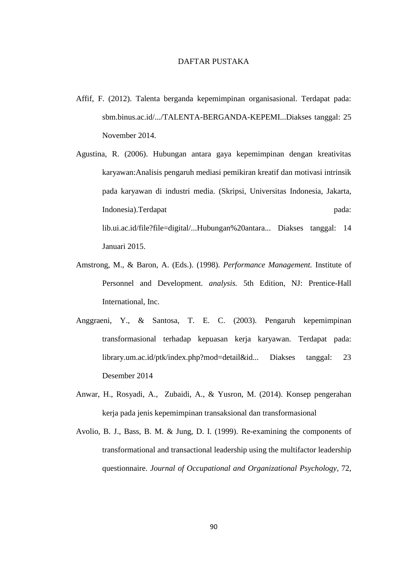## DAFTAR PUSTAKA

- Affif, F. (2012). Talenta berganda kepemimpinan organisasional. Terdapat pada: sbm.binus.ac.id/.../TALENTA-BERGANDA-KEPEMI...Diakses tanggal: 25 November 2014.
- Agustina, R. (2006). Hubungan antara gaya kepemimpinan dengan kreativitas karyawan:Analisis pengaruh mediasi pemikiran kreatif dan motivasi intrinsik pada karyawan di industri media. (Skripsi, Universitas Indonesia, Jakarta, Indonesia).Terdapat pada: lib.ui.ac.id/file?file=digital/...Hubungan%20antara... Diakses tanggal: 14 Januari 2015.
- Amstrong, M., & Baron, A. (Eds.). (1998). *Performance Management.* Institute of Personnel and Development. *analysis.* 5th Edition, NJ: Prentice-Hall International, Inc.
- Anggraeni, Y., & Santosa, T. E. C. (2003). Pengaruh kepemimpinan transformasional terhadap kepuasan kerja karyawan. Terdapat pada: library.um.ac.id/ptk/index.php?mod=detail&id... Diakses tanggal: 23 Desember 2014
- Anwar, H., Rosyadi, A., Zubaidi, A., & Yusron, M. (2014). Konsep pengerahan kerja pada jenis kepemimpinan transaksional dan transformasional
- Avolio, B. J., Bass, B. M. & Jung, D. I. (1999). Re-examining the components of transformational and transactional leadership using the multifactor leadership questionnaire. *Journal of Occupational and Organizational Psychology,* 72,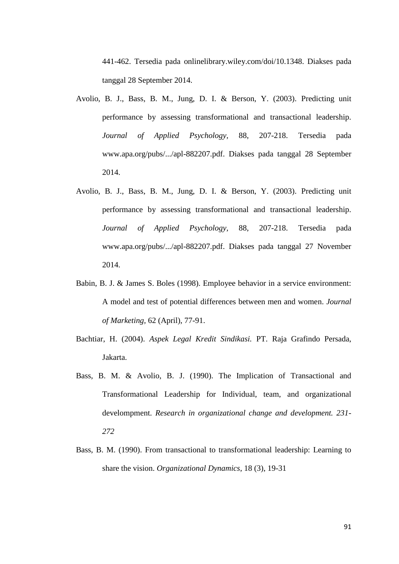441-462. Tersedia pada onlinelibrary.wiley.com/doi/10.1348. Diakses pada tanggal 28 September 2014.

- Avolio, B. J., Bass, B. M., Jung, D. I. & Berson, Y. (2003). Predicting unit performance by assessing transformational and transactional leadership. *Journal of Applied Psychology,* 88, 207-218. Tersedia pada [www.apa.org/pubs/.../apl-882207.pdf.](http://www.apa.org/pubs/.../apl-882207.pdf) Diakses pada tanggal 28 September 2014.
- Avolio, B. J., Bass, B. M., Jung, D. I. & Berson, Y. (2003). Predicting unit performance by assessing transformational and transactional leadership. *Journal of Applied Psychology,* 88, 207-218. Tersedia pada [www.apa.org/pubs/.../apl-882207.pdf.](http://www.apa.org/pubs/.../apl-882207.pdf) Diakses pada tanggal 27 November 2014.
- Babin, B. J. & James S. Boles (1998). Employee behavior in a service environment: A model and test of potential differences between men and women. *Journal of Marketing,* 62 (April), 77-91.
- Bachtiar, H. (2004). *Aspek Legal Kredit Sindikasi.* PT. Raja Grafindo Persada, Jakarta.
- Bass, B. M. & Avolio, B. J. (1990). The Implication of Transactional and Transformational Leadership for Individual, team, and organizational develompment. *Research in organizational change and development. 231- 272*
- Bass, B. M. (1990). From transactional to transformational leadership: Learning to share the vision. *Organizational Dynamics*, 18 (3), 19-31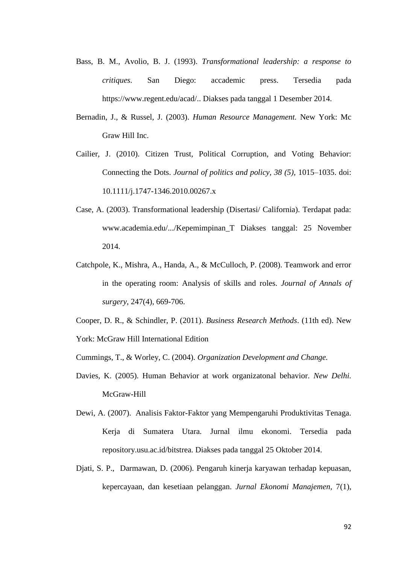- Bass, B. M., Avolio, B. J. (1993). *Transformational leadership: a response to critiques.* San Diego: accademic press. Tersedia pada [https://www.regent.edu/acad/.](https://www.regent.edu/acad/). Diakses pada tanggal 1 Desember 2014.
- Bernadin, J., & Russel, J. (2003). *Human Resource Management.* New York: Mc Graw Hill Inc.
- Cailier, J. (2010). Citizen Trust, Political Corruption, and Voting Behavior: Connecting the Dots. *Journal of politics and policy, 38 (5),* 1015–1035. doi: 10.1111/j.1747-1346.2010.00267.x
- Case, A. (2003). Transformational leadership (Disertasi/ California). Terdapat pada: [www.academia.edu/.../Kepemimpinan\\_T](http://www.academia.edu/.../Kepemimpinan_T) Diakses tanggal: 25 November 2014.
- Catchpole, K., Mishra, A., Handa, A., & McCulloch, P. (2008). Teamwork and error in the operating room: Analysis of skills and roles. *Journal of Annals of surgery*, 247(4), 669-706.
- Cooper, D. R., & Schindler, P. (2011). *Business Research Methods*. (11th ed). New York: McGraw Hill International Edition
- Cummings, T., & Worley, C. (2004). *Organization Development and Change.*
- Davies, K. (2005). Human Behavior at work organizatonal behavior. *New Delhi.* McGraw-Hill
- Dewi, A. (2007). Analisis Faktor-Faktor yang Mempengaruhi Produktivitas Tenaga. Kerja di Sumatera Utara. Jurnal ilmu ekonomi. Tersedia pada repository.usu.ac.id/bitstrea. Diakses pada tanggal 25 Oktober 2014.
- Djati, S. P., Darmawan, D. (2006). Pengaruh kinerja karyawan terhadap kepuasan, kepercayaan, dan kesetiaan pelanggan. *Jurnal Ekonomi Manajemen,* 7(1),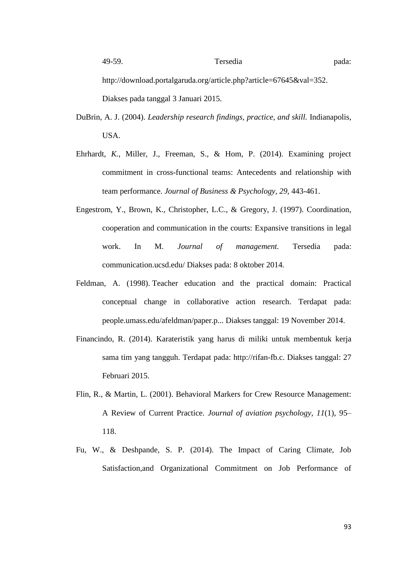http://download.portalgaruda.org/article.php?article=67645&val=352. Diakses pada tanggal 3 Januari 2015.

- DuBrin, A. J. (2004). *Leadership research findings, practice, and skill.* Indianapolis, USA.
- Ehrhardt*, K.*, Miller, J., Freeman, S., & Hom, P. (2014). Examining project commitment in cross-functional teams: Antecedents and relationship with team performance. *Journal of Business & Psychology, 29,* 443-461.
- Engestrom, Y., Brown, K., Christopher, L.C., & Gregory, J. (1997). Coordination, cooperation and communication in the courts: Expansive transitions in legal work. In M. *Journal of management.* Tersedia pada: communication.ucsd.edu/ Diakses pada: 8 oktober 2014.
- Feldman, A. (1998). Teacher education and the practical domain: Practical conceptual change in collaborative action research. Terdapat pada: people.umass.edu/afeldman/paper.p... Diakses tanggal: 19 November 2014.
- Financindo, R. (2014). Karateristik yang harus di miliki untuk membentuk kerja sama tim yang tangguh. Terdapat pada: [http://rifan-fb.c.](http://rifan-fb.c./) Diakses tanggal: 27 Februari 2015.
- Flin, R., & Martin, L. (2001). Behavioral Markers for Crew Resource Management: A Review of Current Practice. *Journal of aviation psychology, 11*(1), 95– 118.
- Fu, W., & Deshpande, S. P. (2014). The Impact of Caring Climate, Job Satisfaction,and Organizational Commitment on Job Performance of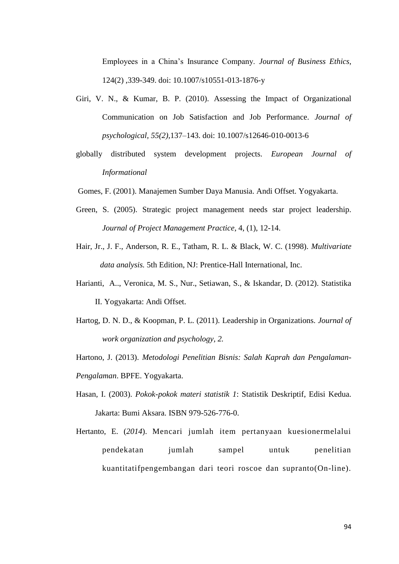Employees in a China's Insurance Company. *Journal of [Business](http://link.springer.com/journal/10551) Ethics,*  124(2) ,339-349. doi: 10.1007/s10551-013-1876-y

- Giri, V. N., & Kumar, B. P. (2010). Assessing the Impact of Organizational Communication on Job Satisfaction and Job Performance. *Journal of psychological, 55(2),*137–143. doi: 10.1007/s12646-010-0013-6
- globally distributed system development projects. *European Journal of Informational*
- Gomes, F. (2001). Manajemen Sumber Daya Manusia. Andi Offset. Yogyakarta.
- Green, S. (2005). Strategic project management needs star project leadership. *Journal of Project Management Practice*, 4, (1), 12-14.
- Hair, Jr., J. F., Anderson, R. E., Tatham, R. L. & Black, W. C. (1998). *Multivariate data analysis.* 5th Edition, NJ: Prentice-Hall International, Inc.
- Harianti, A.., Veronica, M. S., Nur., Setiawan, S., & Iskandar, D. (2012). Statistika II. Yogyakarta: Andi Offset.
- Hartog, D. N. D., & Koopman, P. L. (2011). Leadership in Organizations. *Journal of work organization and psychology, 2.*
- Hartono, J. (2013). *Metodologi Penelitian Bisnis: Salah Kaprah dan Pengalaman-Pengalaman*. BPFE. Yogyakarta.
- Hasan, I. (2003). *Pokok-pokok materi statistik 1*: Statistik Deskriptif, Edisi Kedua. Jakarta: Bumi Aksara. ISBN 979-526-776-0.
- Hertanto, E. (*2014*). Mencari jumlah item pertanyaan kuesionermelalui pendekatan jumlah sampel untuk penelitian kuantitatifpengembangan dari teori roscoe dan supranto(On-line).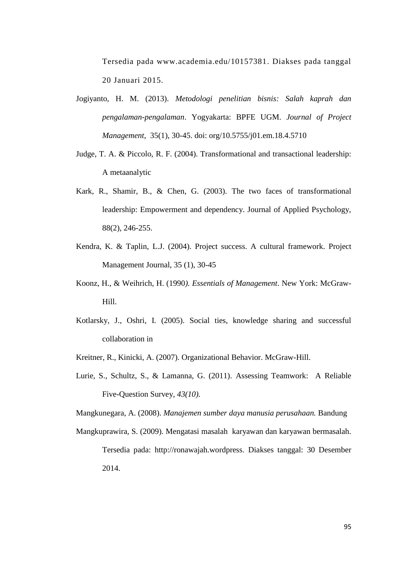Tersedia pada [www.academia.edu/10157381.](http://www.academia.edu/10157381) Diakses pada tanggal 20 Januari 2015.

- Jogiyanto, H. M. (2013). *Metodologi penelitian bisnis: Salah kaprah dan pengalaman-pengalaman*. Yogyakarta: BPFE UGM. *Journal of Project Management*, 35(1), 30-45. doi: org/10.5755/j01.em.18.4.5710
- Judge, T. A. & Piccolo, R. F. (2004). Transformational and transactional leadership: A metaanalytic
- Kark, R., Shamir, B., & Chen, G. (2003). The two faces of transformational leadership: Empowerment and dependency. Journal of Applied Psychology, 88(2), 246-255.
- Kendra, K. & Taplin, L.J. (2004). Project success. A cultural framework. Project Management Journal, 35 (1), 30-45
- Koonz, H., & Weihrich, H. (1990*). Essentials of Management*. New York: McGraw-Hill.
- Kotlarsky, J., Oshri, I. (2005). Social ties, knowledge sharing and successful collaboration in
- Kreitner, R., Kinicki, A. (2007). Organizational Behavior. McGraw-Hill.
- Lurie, S., Schultz, S., & Lamanna, G. (2011). Assessing Teamwork: A Reliable Five-Question Survey, *43(10).*

Mangkunegara, A. (2008). *Manajemen sumber daya manusia perusahaan.* Bandung

Mangkuprawira, S. (2009). Mengatasi masalah karyawan dan karyawan bermasalah. Tersedia pada: [http://ronawajah.wordpress.](http://ronawajah.wordpress/) Diakses tanggal: 30 Desember 2014.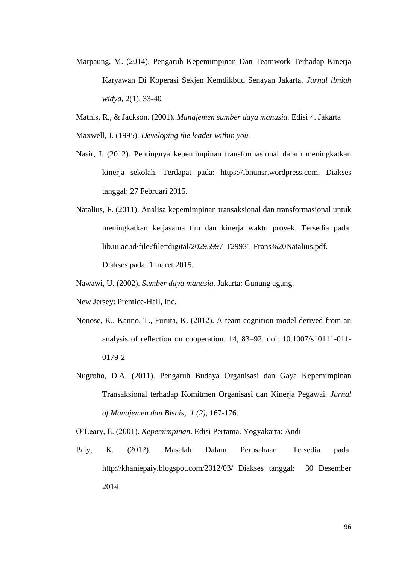- Marpaung, M. (2014). Pengaruh Kepemimpinan Dan Teamwork Terhadap Kinerja Karyawan Di Koperasi Sekjen Kemdikbud Senayan Jakarta. *Jurnal ilmiah widya,* 2(1), 33-40
- Mathis, R., & Jackson. (2001). *Manajemen sumber daya manusia.* Edisi 4. Jakarta Maxwell, J. (1995). *Developing the leader within you.*
- Nasir, I. (2012). Pentingnya kepemimpinan transformasional dalam meningkatkan kinerja sekolah. Terdapat pada: [https://ibnunsr.wordpress.com.](https://ibnunsr.wordpress.com/) Diakses tanggal: 27 Februari 2015.
- Natalius, F. (2011). Analisa kepemimpinan transaksional dan transformasional untuk meningkatkan kerjasama tim dan kinerja waktu proyek. Tersedia pada: lib.ui.ac.id/file?file=digital/20295997-T29931-Frans%20Natalius.pdf.

Diakses pada: 1 maret 2015.

Nawawi, U. (2002). *Sumber daya manusia.* Jakarta: Gunung agung.

- New Jersey: Prentice-Hall, Inc.
- Nonose, K., Kanno, T., Furuta, K. (2012). A team cognition model derived from an analysis of reflection on cooperation. 14, 83–92. doi: 10.1007/s10111-011- 0179-2
- Nugroho, D.A. (2011). Pengaruh Budaya Organisasi dan Gaya Kepemimpinan Transaksional terhadap Komitmen Organisasi dan Kinerja Pegawai. *Jurnal of Manajemen dan Bisnis, 1 (2),* 167-176.

O'Leary, E. (2001). *Kepemimpinan*. Edisi Pertama. Yogyakarta: Andi

Paiy, K. (2012). Masalah Dalam Perusahaan. Tersedia pada: [http://khaniepaiy.blogspot.com/2012/03/ Diakses tanggal: 30 Desember](http://khaniepaiy.blogspot.com/2012/03/%20Diakses%20tanggal:%20%2030%20Desember%202014)  [2014](http://khaniepaiy.blogspot.com/2012/03/%20Diakses%20tanggal:%20%2030%20Desember%202014)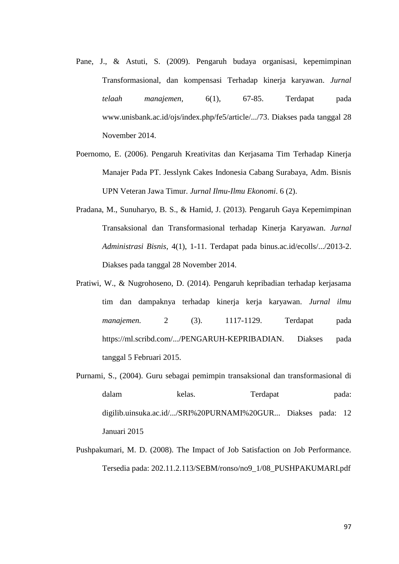- Pane, J., & Astuti, S. (2009). Pengaruh budaya organisasi, kepemimpinan Transformasional, dan kompensasi Terhadap kinerja karyawan. *Jurnal telaah manajemen,* 6(1), 67-85. Terdapat pada [www.unisbank.ac.id/ojs/index.php/fe5/article/.../73.](http://www.unisbank.ac.id/ojs/index.php/fe5/article/.../73) Diakses pada tanggal 28 November 2014.
- Poernomo, E. (2006). Pengaruh Kreativitas dan Kerjasama Tim Terhadap Kinerja Manajer Pada PT. Jesslynk Cakes Indonesia Cabang Surabaya, Adm. Bisnis UPN Veteran Jawa Timur. *Jurnal Ilmu-Ilmu Ekonomi*. 6 (2).
- Pradana, M., Sunuharyo, B. S., & Hamid, J. (2013). Pengaruh Gaya Kepemimpinan Transaksional dan Transformasional terhadap Kinerja Karyawan. *Jurnal Administrasi Bisnis*, 4(1), 1-11. Terdapat pada binus.ac.id/ecolls/.../2013-2. Diakses pada tanggal 28 November 2014.
- Pratiwi, W., & Nugrohoseno, D. (2014). Pengaruh kepribadian terhadap kerjasama tim dan dampaknya terhadap kinerja kerja karyawan. *Jurnal ilmu manajemen.* 2 (3). 1117-1129. Terdapat pada [https://ml.scribd.com/.../PENGARUH-KEPRIBADIAN.](https://ml.scribd.com/.../PENGARUH-KEPRIBADIAN) Diakses pada tanggal 5 Februari 2015.
- Purnami, S., (2004). Guru sebagai pemimpin transaksional dan transformasional di dalam kelas. Terdapat pada: digilib.uinsuka.ac.id/.../SRI%20PURNAMI%20GUR... Diakses pada: 12 Januari 2015
- Pushpakumari, M. D. (2008). The Impact of Job Satisfaction on Job Performance. Tersedia pada: 202.11.2.113/SEBM/ronso/no9\_1/08\_PUSHPAKUMARI.pdf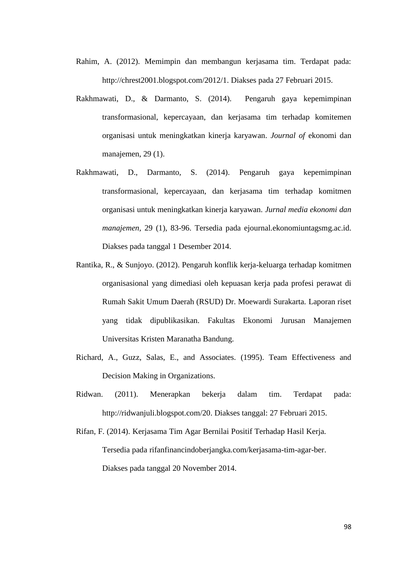- Rahim, A. (2012). Memimpin dan membangun kerjasama tim. Terdapat pada: [http://chrest2001.blogspot.com/2012/1.](http://chrest2001.blogspot.com/2012/12/memimpin-dan-membangun-kerjasama-tim.html) Diakses pada 27 Februari 2015.
- Rakhmawati, D., & Darmanto, S. (2014). Pengaruh gaya kepemimpinan transformasional, kepercayaan, dan kerjasama tim terhadap komitemen organisasi untuk meningkatkan kinerja karyawan. *Journal of* ekonomi dan manajemen, 29 (1).
- Rakhmawati, D., Darmanto, S. (2014). Pengaruh gaya kepemimpinan transformasional, kepercayaan, dan kerjasama tim terhadap komitmen organisasi untuk meningkatkan kinerja karyawan. *Jurnal media ekonomi dan manajemen,* 29 (1), 83-96. Tersedia pada ejournal.ekonomiuntagsmg.ac.id. Diakses pada tanggal 1 Desember 2014.
- Rantika, R., & Sunjoyo. (2012). Pengaruh konflik kerja-keluarga terhadap komitmen organisasional yang dimediasi oleh kepuasan kerja pada profesi perawat di Rumah Sakit Umum Daerah (RSUD) Dr. Moewardi Surakarta. Laporan riset yang tidak dipublikasikan. Fakultas Ekonomi Jurusan Manajemen Universitas Kristen Maranatha Bandung.
- Richard, A., Guzz, Salas, E., and Associates. (1995). Team Effectiveness and Decision Making in Organizations.
- Ridwan. (2011). Menerapkan bekerja dalam tim. Terdapat pada: [http://ridwanjuli.blogspot.com/20.](http://ridwanjuli.blogspot.com/20) Diakses tanggal: 27 Februari 2015.
- Rifan, F. (2014). Kerjasama Tim Agar Bernilai Positif Terhadap Hasil Kerja. Tersedia pada rifanfinancindoberjangka.com/kerjasama-tim-agar-ber. Diakses pada tanggal 20 November 2014.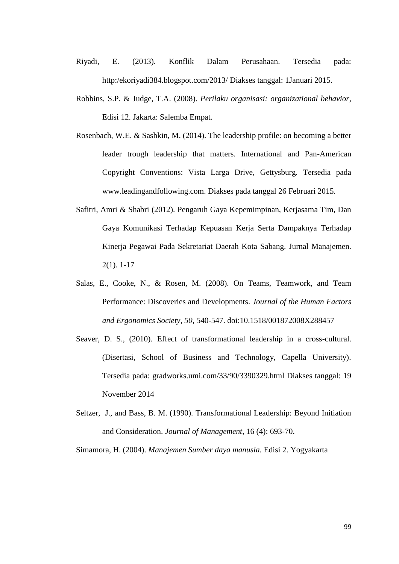- Riyadi, E. (2013). Konflik Dalam Perusahaan. Tersedia pada: [http:/ekoriyadi384.blogspot.com/2013/](http://ekoriyadi384.blogspot.com/2013/) Diakses tanggal: 1Januari 2015.
- Robbins, S.P. & Judge, T.A. (2008). *Perilaku organisasi: organizational behavior,*  Edisi 12. Jakarta: Salemba Empat.
- Rosenbach, W.E. & Sashkin, M. (2014). The leadership profile: on becoming a better leader trough leadership that matters. International and Pan-American Copyright Conventions: Vista Larga Drive, Gettysburg. Tersedia pada [www.leadingandfollowing.com.](http://www.leadingandfollowing.com/) Diakses pada tanggal 26 Februari 2015.
- Safitri, Amri & Shabri (2012). Pengaruh Gaya Kepemimpinan, Kerjasama Tim, Dan Gaya Komunikasi Terhadap Kepuasan Kerja Serta Dampaknya Terhadap Kinerja Pegawai Pada Sekretariat Daerah Kota Sabang. Jurnal Manajemen. 2(1). 1-17
- Salas, E., Cooke, N., & Rosen, M. (2008). On Teams, Teamwork, and Team Performance: Discoveries and Developments. *Journal of the Human Factors and Ergonomics Society, 50,* 540-547. doi:10.1518/001872008X288457
- Seaver, D. S., (2010). Effect of transformational leadership in a cross-cultural. (Disertasi, School of Business and Technology, Capella University). Tersedia pada: gradworks.umi.com/33/90/3390329.html Diakses tanggal: 19 November 2014
- Seltzer, J., and Bass, B. M. (1990). Transformational Leadership: Beyond Initiation and Consideration. *Journal of Management*, 16 (4): 693-70.

Simamora, H. (2004). *Manajemen Sumber daya manusia.* Edisi 2. Yogyakarta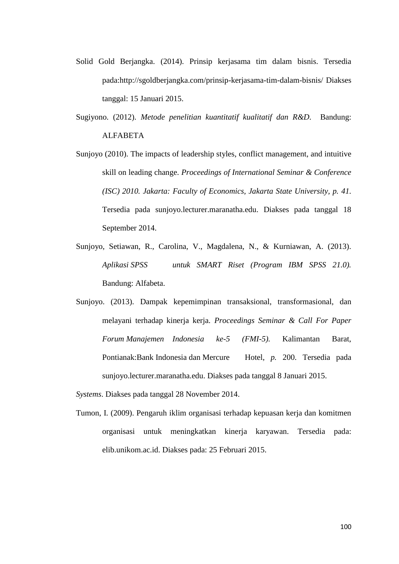- Solid Gold Berjangka. (2014). Prinsip kerjasama tim dalam bisnis. Tersedia pada[:http://sgoldberjangka.com/prinsip-kerjasama-tim-dalam-bisnis/](http://sgoldberjangka.com/prinsip-kerjasama-tim-dalam-bisnis/) Diakses tanggal: 15 Januari 2015.
- Sugiyono. (2012). *Metode penelitian kuantitatif kualitatif dan R&D.* Bandung: ALFABETA
- Sunjoyo (2010). The impacts of leadership styles, conflict management, and intuitive skill on leading change. *Proceedings of International Seminar & Conference (ISC) 2010. Jakarta: Faculty of Economics, Jakarta State University, p. 41.*  Tersedia pada sunjoyo.lecturer.maranatha.edu. Diakses pada tanggal 18 September 2014.
- Sunjoyo, Setiawan, R., Carolina, V., Magdalena, N., & Kurniawan, A. (2013). *Aplikasi SPSS untuk SMART Riset (Program IBM SPSS 21.0).* Bandung: Alfabeta.
- Sunjoyo. (2013). Dampak kepemimpinan transaksional, transformasional, dan melayani terhadap kinerja kerja. *Proceedings Seminar & Call For Paper Forum Manajemen Indonesia ke-5 (FMI-5).* Kalimantan Barat, Pontianak:Bank Indonesia dan Mercure Hotel, *p.* 200. Tersedia pada sunjoyo.lecturer.maranatha.edu. Diakses pada tanggal 8 Januari 2015.
- *Systems*. Diakses pada tanggal 28 November 2014.
- Tumon, I. (2009). Pengaruh iklim organisasi terhadap kepuasan kerja dan komitmen organisasi untuk meningkatkan kinerja karyawan. Tersedia pada: elib.unikom.ac.id. Diakses pada: 25 Februari 2015.